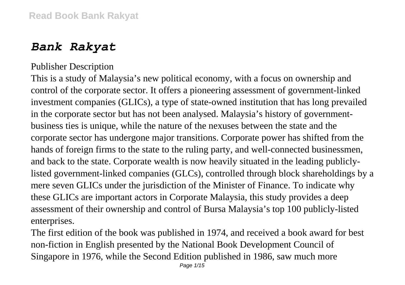## *Bank Rakyat*

## Publisher Description

This is a study of Malaysia's new political economy, with a focus on ownership and control of the corporate sector. It offers a pioneering assessment of government-linked investment companies (GLICs), a type of state-owned institution that has long prevailed in the corporate sector but has not been analysed. Malaysia's history of governmentbusiness ties is unique, while the nature of the nexuses between the state and the corporate sector has undergone major transitions. Corporate power has shifted from the hands of foreign firms to the state to the ruling party, and well-connected businessmen, and back to the state. Corporate wealth is now heavily situated in the leading publiclylisted government-linked companies (GLCs), controlled through block shareholdings by a mere seven GLICs under the jurisdiction of the Minister of Finance. To indicate why these GLICs are important actors in Corporate Malaysia, this study provides a deep assessment of their ownership and control of Bursa Malaysia's top 100 publicly-listed enterprises.

The first edition of the book was published in 1974, and received a book award for best non-fiction in English presented by the National Book Development Council of Singapore in 1976, while the Second Edition published in 1986, saw much more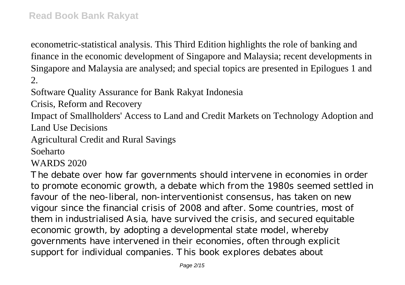econometric-statistical analysis. This Third Edition highlights the role of banking and finance in the economic development of Singapore and Malaysia; recent developments in Singapore and Malaysia are analysed; and special topics are presented in Epilogues 1 and 2.

Software Quality Assurance for Bank Rakyat Indonesia

Crisis, Reform and Recovery

Impact of Smallholders' Access to Land and Credit Markets on Technology Adoption and Land Use Decisions

Agricultural Credit and Rural Savings

Soeharto

WARDS 2020

The debate over how far governments should intervene in economies in order to promote economic growth, a debate which from the 1980s seemed settled in favour of the neo-liberal, non-interventionist consensus, has taken on new vigour since the financial crisis of 2008 and after. Some countries, most of them in industrialised Asia, have survived the crisis, and secured equitable economic growth, by adopting a developmental state model, whereby governments have intervened in their economies, often through explicit support for individual companies. This book explores debates about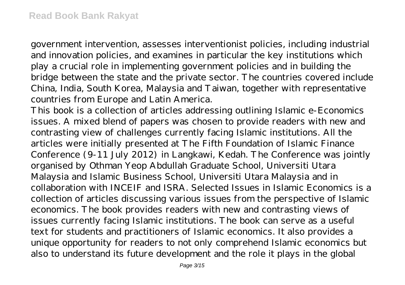government intervention, assesses interventionist policies, including industrial and innovation policies, and examines in particular the key institutions which play a crucial role in implementing government policies and in building the bridge between the state and the private sector. The countries covered include China, India, South Korea, Malaysia and Taiwan, together with representative countries from Europe and Latin America.

This book is a collection of articles addressing outlining Islamic e-Economics issues. A mixed blend of papers was chosen to provide readers with new and contrasting view of challenges currently facing Islamic institutions. All the articles were initially presented at The Fifth Foundation of Islamic Finance Conference (9-11 July 2012) in Langkawi, Kedah. The Conference was jointly organised by Othman Yeop Abdullah Graduate School, Universiti Utara Malaysia and Islamic Business School, Universiti Utara Malaysia and in collaboration with INCEIF and ISRA. Selected Issues in Islamic Economics is a collection of articles discussing various issues from the perspective of Islamic economics. The book provides readers with new and contrasting views of issues currently facing Islamic institutions. The book can serve as a useful text for students and practitioners of Islamic economics. It also provides a unique opportunity for readers to not only comprehend Islamic economics but also to understand its future development and the role it plays in the global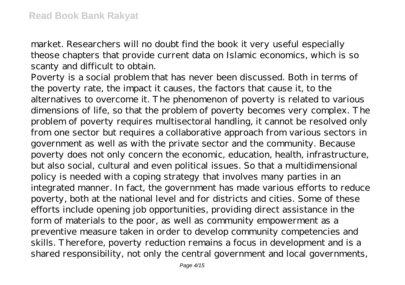market. Researchers will no doubt find the book it very useful especially theose chapters that provide current data on Islamic economics, which is so scanty and difficult to obtain.

Poverty is a social problem that has never been discussed. Both in terms of the poverty rate, the impact it causes, the factors that cause it, to the alternatives to overcome it. The phenomenon of poverty is related to various dimensions of life, so that the problem of poverty becomes very complex. The problem of poverty requires multisectoral handling, it cannot be resolved only from one sector but requires a collaborative approach from various sectors in government as well as with the private sector and the community. Because poverty does not only concern the economic, education, health, infrastructure, but also social, cultural and even political issues. So that a multidimensional policy is needed with a coping strategy that involves many parties in an integrated manner. In fact, the government has made various efforts to reduce poverty, both at the national level and for districts and cities. Some of these efforts include opening job opportunities, providing direct assistance in the form of materials to the poor, as well as community empowerment as a preventive measure taken in order to develop community competencies and skills. Therefore, poverty reduction remains a focus in development and is a shared responsibility, not only the central government and local governments,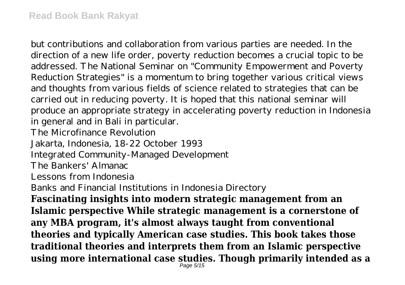but contributions and collaboration from various parties are needed. In the direction of a new life order, poverty reduction becomes a crucial topic to be addressed. The National Seminar on "Community Empowerment and Poverty Reduction Strategies" is a momentum to bring together various critical views and thoughts from various fields of science related to strategies that can be carried out in reducing poverty. It is hoped that this national seminar will produce an appropriate strategy in accelerating poverty reduction in Indonesia in general and in Bali in particular.

The Microfinance Revolution

Jakarta, Indonesia, 18-22 October 1993

Integrated Community-Managed Development

The Bankers' Almanac

Lessons from Indonesia

Banks and Financial Institutions in Indonesia Directory

**Fascinating insights into modern strategic management from an Islamic perspective While strategic management is a cornerstone of any MBA program, it's almost always taught from conventional theories and typically American case studies. This book takes those traditional theories and interprets them from an Islamic perspective using more international case studies. Though primarily intended as a**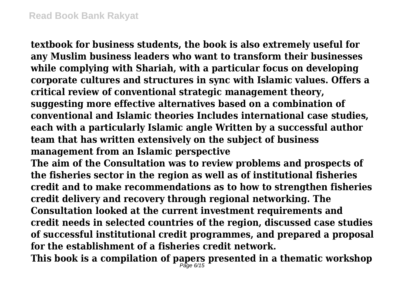**textbook for business students, the book is also extremely useful for any Muslim business leaders who want to transform their businesses while complying with Shariah, with a particular focus on developing corporate cultures and structures in sync with Islamic values. Offers a critical review of conventional strategic management theory, suggesting more effective alternatives based on a combination of conventional and Islamic theories Includes international case studies, each with a particularly Islamic angle Written by a successful author team that has written extensively on the subject of business management from an Islamic perspective**

**The aim of the Consultation was to review problems and prospects of the fisheries sector in the region as well as of institutional fisheries credit and to make recommendations as to how to strengthen fisheries credit delivery and recovery through regional networking. The Consultation looked at the current investment requirements and credit needs in selected countries of the region, discussed case studies of successful institutional credit programmes, and prepared a proposal for the establishment of a fisheries credit network.**

**This book is a compilation of papers presented in a thematic workshop** Page 6/15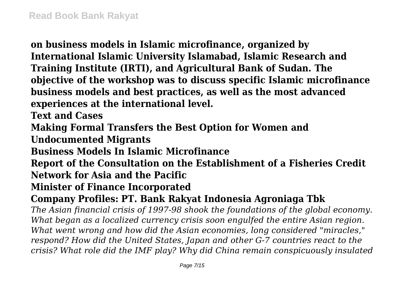**on business models in Islamic microfinance, organized by International Islamic University Islamabad, Islamic Research and Training Institute (IRTI), and Agricultural Bank of Sudan. The objective of the workshop was to discuss specific Islamic microfinance business models and best practices, as well as the most advanced experiences at the international level.**

**Text and Cases**

**Making Formal Transfers the Best Option for Women and**

**Undocumented Migrants**

**Business Models In Islamic Microfinance**

**Report of the Consultation on the Establishment of a Fisheries Credit Network for Asia and the Pacific**

**Minister of Finance Incorporated**

**Company Profiles: PT. Bank Rakyat Indonesia Agroniaga Tbk**

*The Asian financial crisis of 1997-98 shook the foundations of the global economy. What began as a localized currency crisis soon engulfed the entire Asian region. What went wrong and how did the Asian economies, long considered "miracles," respond? How did the United States, Japan and other G-7 countries react to the crisis? What role did the IMF play? Why did China remain conspicuously insulated*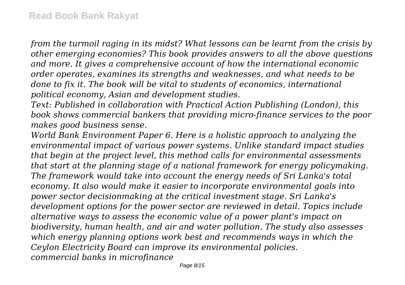*from the turmoil raging in its midst? What lessons can be learnt from the crisis by other emerging economies? This book provides answers to all the above questions and more. It gives a comprehensive account of how the international economic order operates, examines its strengths and weaknesses, and what needs to be done to fix it. The book will be vital to students of economics, international political economy, Asian and development studies.*

*Text: Published in collaboration with Practical Action Publishing (London), this book shows commercial bankers that providing micro-finance services to the poor makes good business sense.*

*World Bank Environment Paper 6. Here is a holistic approach to analyzing the environmental impact of various power systems. Unlike standard impact studies that begin at the project level, this method calls for environmental assessments that start at the planning stage of a national framework for energy policymaking. The framework would take into account the energy needs of Sri Lanka's total economy. It also would make it easier to incorporate environmental goals into power sector decisionmaking at the critical investment stage. Sri Lanka's development options for the power sector are reviewed in detail. Topics include alternative ways to assess the economic value of a power plant's impact on biodiversity, human health, and air and water pollution. The study also assesses which energy planning options work best and recommends ways in which the Ceylon Electricity Board can improve its environmental policies. commercial banks in microfinance*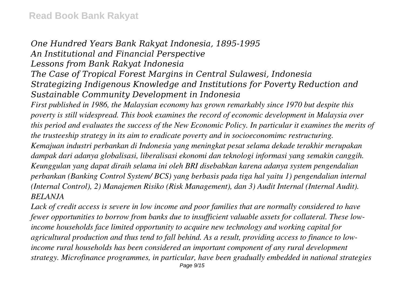## *One Hundred Years Bank Rakyat Indonesia, 1895-1995 An Institutional and Financial Perspective Lessons from Bank Rakyat Indonesia The Case of Tropical Forest Margins in Central Sulawesi, Indonesia Strategizing Indigenous Knowledge and Institutions for Poverty Reduction and Sustainable Community Development in Indonesia*

*First published in 1986, the Malaysian economy has grown remarkably since 1970 but despite this poverty is still widespread. This book examines the record of economic development in Malaysia over this period and evaluates the success of the New Economic Policy. In particular it examines the merits of the trusteeship strategy in its aim to eradicate poverty and in socioeconomimc restructuring. Kemajuan industri perbankan di Indonesia yang meningkat pesat selama dekade terakhir merupakan dampak dari adanya globalisasi, liberalisasi ekonomi dan teknologi informasi yang semakin canggih. Keunggulan yang dapat diraih selama ini oleh BRI disebabkan karena adanya system pengendalian perbankan (Banking Control System/ BCS) yang berbasis pada tiga hal yaitu 1) pengendalian internal (Internal Control), 2) Manajemen Risiko (Risk Management), dan 3) Audit Internal (Internal Audit). BELANJA*

*Lack of credit access is severe in low income and poor families that are normally considered to have fewer opportunities to borrow from banks due to insufficient valuable assets for collateral. These lowincome households face limited opportunity to acquire new technology and working capital for agricultural production and thus tend to fall behind. As a result, providing access to finance to lowincome rural households has been considered an important component of any rural development strategy. Microfinance programmes, in particular, have been gradually embedded in national strategies* Page 9/15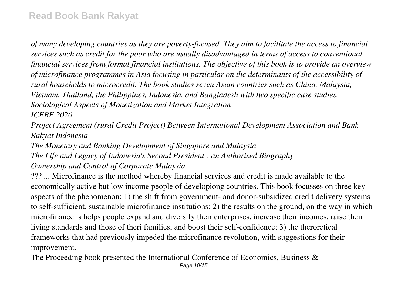*of many developing countries as they are poverty-focused. They aim to facilitate the access to financial services such as credit for the poor who are usually disadvantaged in terms of access to conventional financial services from formal financial institutions. The objective of this book is to provide an overview of microfinance programmes in Asia focusing in particular on the determinants of the accessibility of rural households to microcredit. The book studies seven Asian countries such as China, Malaysia, Vietnam, Thailand, the Philippines, Indonesia, and Bangladesh with two specific case studies. Sociological Aspects of Monetization and Market Integration ICEBE 2020*

*Project Agreement (rural Credit Project) Between International Development Association and Bank Rakyat Indonesia*

*The Monetary and Banking Development of Singapore and Malaysia The Life and Legacy of Indonesia's Second President : an Authorised Biography Ownership and Control of Corporate Malaysia*

??? ... Microfinance is the method whereby financial services and credit is made available to the economically active but low income people of developiong countries. This book focusses on three key aspects of the phenomenon: 1) the shift from government- and donor-subsidized credit delivery systems to self-sufficient, sustainable microfinance institutions; 2) the results on the ground, on the way in which microfinance is helps people expand and diversify their enterprises, increase their incomes, raise their living standards and those of theri families, and boost their self-confidence; 3) the theroretical frameworks that had previously impeded the microfinance revolution, with suggestions for their improvement.

The Proceeding book presented the International Conference of Economics, Business &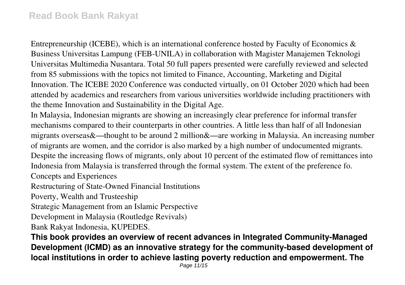Entrepreneurship (ICEBE), which is an international conference hosted by Faculty of Economics  $\&$ Business Universitas Lampung (FEB-UNILA) in collaboration with Magister Manajemen Teknologi Universitas Multimedia Nusantara. Total 50 full papers presented were carefully reviewed and selected from 85 submissions with the topics not limited to Finance, Accounting, Marketing and Digital Innovation. The ICEBE 2020 Conference was conducted virtually, on 01 October 2020 which had been attended by academics and researchers from various universities worldwide including practitioners with the theme Innovation and Sustainability in the Digital Age.

In Malaysia, Indonesian migrants are showing an increasingly clear preference for informal transfer mechanisms compared to their counterparts in other countries. A little less than half of all Indonesian migrants overseas&—thought to be around 2 million&—are working in Malaysia. An increasing number of migrants are women, and the corridor is also marked by a high number of undocumented migrants. Despite the increasing flows of migrants, only about 10 percent of the estimated flow of remittances into Indonesia from Malaysia is transferred through the formal system. The extent of the preference fo.

Concepts and Experiences

Restructuring of State-Owned Financial Institutions

Poverty, Wealth and Trusteeship

Strategic Management from an Islamic Perspective

Development in Malaysia (Routledge Revivals)

Bank Rakyat Indonesia, KUPEDES.

**This book provides an overview of recent advances in Integrated Community-Managed Development (ICMD) as an innovative strategy for the community-based development of local institutions in order to achieve lasting poverty reduction and empowerment. The**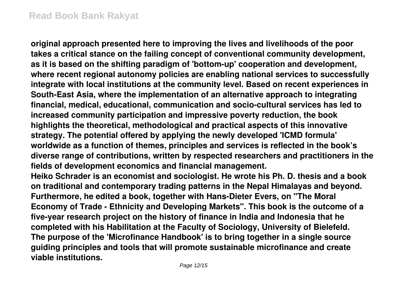**original approach presented here to improving the lives and livelihoods of the poor takes a critical stance on the failing concept of conventional community development, as it is based on the shifting paradigm of 'bottom-up' cooperation and development, where recent regional autonomy policies are enabling national services to successfully integrate with local institutions at the community level. Based on recent experiences in South-East Asia, where the implementation of an alternative approach to integrating financial, medical, educational, communication and socio-cultural services has led to increased community participation and impressive poverty reduction, the book highlights the theoretical, methodological and practical aspects of this innovative strategy. The potential offered by applying the newly developed 'ICMD formula' worldwide as a function of themes, principles and services is reflected in the book's diverse range of contributions, written by respected researchers and practitioners in the fields of development economics and financial management.**

**Heiko Schrader is an economist and sociologist. He wrote his Ph. D. thesis and a book on traditional and contemporary trading patterns in the Nepal Himalayas and beyond. Furthermore, he edited a book, together with Hans-Dieter Evers, on "The Moral Economy of Trade - Ethnicity and Developing Markets". This book is the outcome of a five-year research project on the history of finance in India and Indonesia that he completed with his Habilitation at the Faculty of Sociology, University of Bielefeld. The purpose of the 'Microfinance Handbook' is to bring together in a single source guiding principles and tools that will promote sustainable microfinance and create viable institutions.**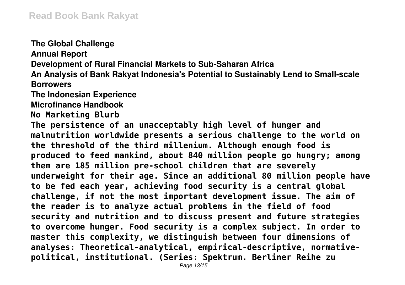**The Global Challenge Annual Report Development of Rural Financial Markets to Sub-Saharan Africa An Analysis of Bank Rakyat Indonesia's Potential to Sustainably Lend to Small-scale Borrowers The Indonesian Experience Microfinance Handbook No Marketing Blurb The persistence of an unacceptably high level of hunger and malnutrition worldwide presents a serious challenge to the world on the threshold of the third millenium. Although enough food is produced to feed mankind, about 840 million people go hungry; among them are 185 million pre-school children that are severely underweight for their age. Since an additional 80 million people have to be fed each year, achieving food security is a central global challenge, if not the most important development issue. The aim of the reader is to analyze actual problems in the field of food security and nutrition and to discuss present and future strategies to overcome hunger. Food security is a complex subject. In order to master this complexity, we distinguish between four dimensions of analyses: Theoretical-analytical, empirical-descriptive, normativepolitical, institutional. (Series: Spektrum. Berliner Reihe zu**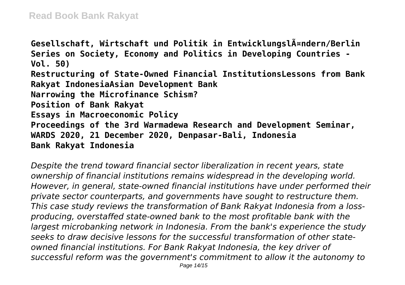Gesellschaft, Wirtschaft und Politik in Entwicklungsl $\tilde{A}$ ¤ndern/Berlin **Series on Society, Economy and Politics in Developing Countries - Vol. 50) Restructuring of State-Owned Financial InstitutionsLessons from Bank Rakyat IndonesiaAsian Development Bank Narrowing the Microfinance Schism? Position of Bank Rakyat Essays in Macroeconomic Policy Proceedings of the 3rd Warmadewa Research and Development Seminar, WARDS 2020, 21 December 2020, Denpasar-Bali, Indonesia Bank Rakyat Indonesia**

*Despite the trend toward financial sector liberalization in recent years, state ownership of financial institutions remains widespread in the developing world. However, in general, state-owned financial institutions have under performed their private sector counterparts, and governments have sought to restructure them. This case study reviews the transformation of Bank Rakyat Indonesia from a lossproducing, overstaffed state-owned bank to the most profitable bank with the largest microbanking network in Indonesia. From the bank's experience the study seeks to draw decisive lessons for the successful transformation of other stateowned financial institutions. For Bank Rakyat Indonesia, the key driver of successful reform was the government's commitment to allow it the autonomy to*